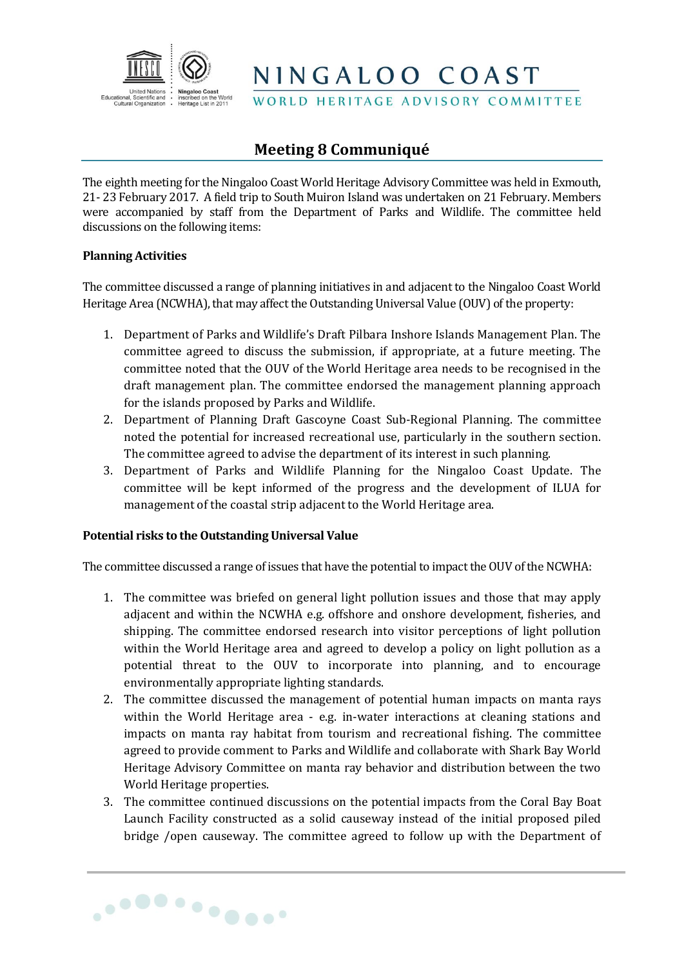

NINGALOO COAST

WORLD HERITAGE ADVISORY COMMITTEE

# **Meeting 8 Communiqué**

The eighth meeting for the Ningaloo Coast World Heritage Advisory Committee was held in Exmouth, 21- 23 February 2017. A field trip to South Muiron Island was undertaken on 21 February. Members were accompanied by staff from the Department of Parks and Wildlife. The committee held discussions on the following items:

## **Planning Activities**

The committee discussed a range of planning initiatives in and adjacent to the Ningaloo Coast World Heritage Area (NCWHA), that may affect the Outstanding Universal Value (OUV) of the property:

- 1. Department of Parks and Wildlife's Draft Pilbara Inshore Islands Management Plan. The committee agreed to discuss the submission, if appropriate, at a future meeting. The committee noted that the OUV of the World Heritage area needs to be recognised in the draft management plan. The committee endorsed the management planning approach for the islands proposed by Parks and Wildlife.
- 2. Department of Planning Draft Gascoyne Coast Sub-Regional Planning. The committee noted the potential for increased recreational use, particularly in the southern section. The committee agreed to advise the department of its interest in such planning.
- 3. Department of Parks and Wildlife Planning for the Ningaloo Coast Update. The committee will be kept informed of the progress and the development of ILUA for management of the coastal strip adjacent to the World Heritage area.

## **Potential risks to the Outstanding Universal Value**

The committee discussed a range of issues that have the potential to impact the OUV of the NCWHA:

- 1. The committee was briefed on general light pollution issues and those that may apply adjacent and within the NCWHA e.g. offshore and onshore development, fisheries, and shipping. The committee endorsed research into visitor perceptions of light pollution within the World Heritage area and agreed to develop a policy on light pollution as a potential threat to the OUV to incorporate into planning, and to encourage environmentally appropriate lighting standards.
- 2. The committee discussed the management of potential human impacts on manta rays within the World Heritage area - e.g. in-water interactions at cleaning stations and impacts on manta ray habitat from tourism and recreational fishing. The committee agreed to provide comment to Parks and Wildlife and collaborate with Shark Bay World Heritage Advisory Committee on manta ray behavior and distribution between the two World Heritage properties.
- 3. The committee continued discussions on the potential impacts from the Coral Bay Boat Launch Facility constructed as a solid causeway instead of the initial proposed piled bridge /open causeway. The committee agreed to follow up with the Department of

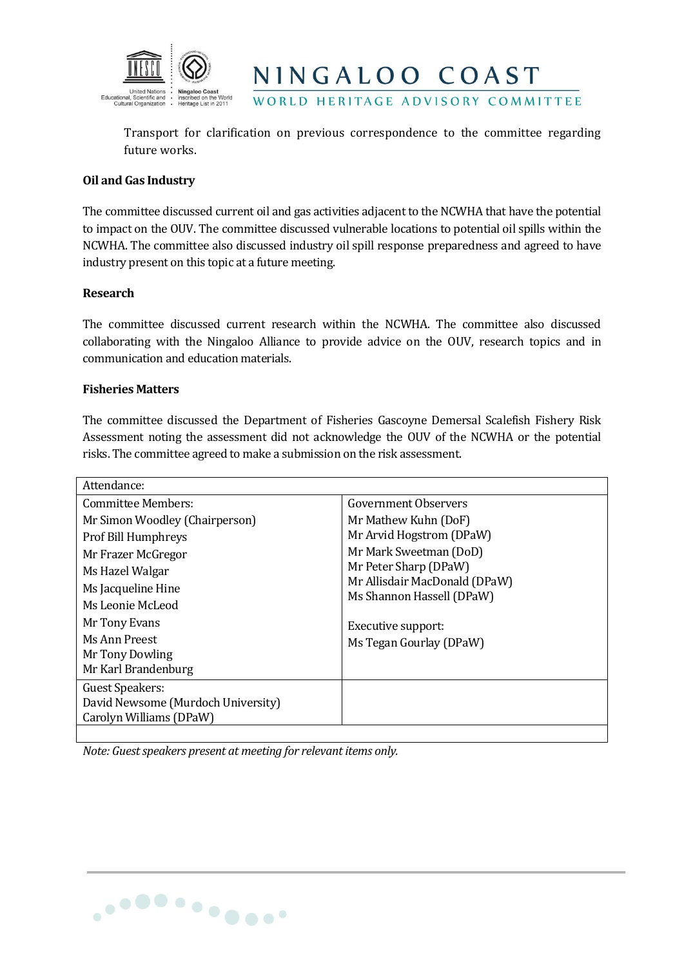

Transport for clarification on previous correspondence to the committee regarding future works.

NINGALOO COAST

WORLD HERITAGE ADVISORY COMMITTEE

#### **Oil and Gas Industry**

The committee discussed current oil and gas activities adjacent to the NCWHA that have the potential to impact on the OUV. The committee discussed vulnerable locations to potential oil spills within the NCWHA. The committee also discussed industry oil spill response preparedness and agreed to have industry present on this topic at a future meeting.

#### **Research**

The committee discussed current research within the NCWHA. The committee also discussed collaborating with the Ningaloo Alliance to provide advice on the OUV, research topics and in communication and education materials.

### **Fisheries Matters**

The committee discussed the Department of Fisheries Gascoyne Demersal Scalefish Fishery Risk Assessment noting the assessment did not acknowledge the OUV of the NCWHA or the potential risks. The committee agreed to make a submission on the risk assessment.

| Attendance:                                                                                                                              |                                                                                                                                                                   |  |
|------------------------------------------------------------------------------------------------------------------------------------------|-------------------------------------------------------------------------------------------------------------------------------------------------------------------|--|
| Committee Members:                                                                                                                       | Government Observers                                                                                                                                              |  |
| Mr Simon Woodley (Chairperson)<br>Prof Bill Humphreys<br>Mr Frazer McGregor<br>Ms Hazel Walgar<br>Ms Jacqueline Hine<br>Ms Leonie McLeod | Mr Mathew Kuhn (DoF)<br>Mr Arvid Hogstrom (DPaW)<br>Mr Mark Sweetman (DoD)<br>Mr Peter Sharp (DPaW)<br>Mr Allisdair MacDonald (DPaW)<br>Ms Shannon Hassell (DPaW) |  |
| Mr Tony Evans<br>Ms Ann Preest<br>Mr Tony Dowling<br>Mr Karl Brandenburg                                                                 | Executive support:<br>Ms Tegan Gourlay (DPaW)                                                                                                                     |  |
| <b>Guest Speakers:</b><br>David Newsome (Murdoch University)<br>Carolyn Williams (DPaW)                                                  |                                                                                                                                                                   |  |

*Note: Guest speakers present at meeting for relevant items only.*